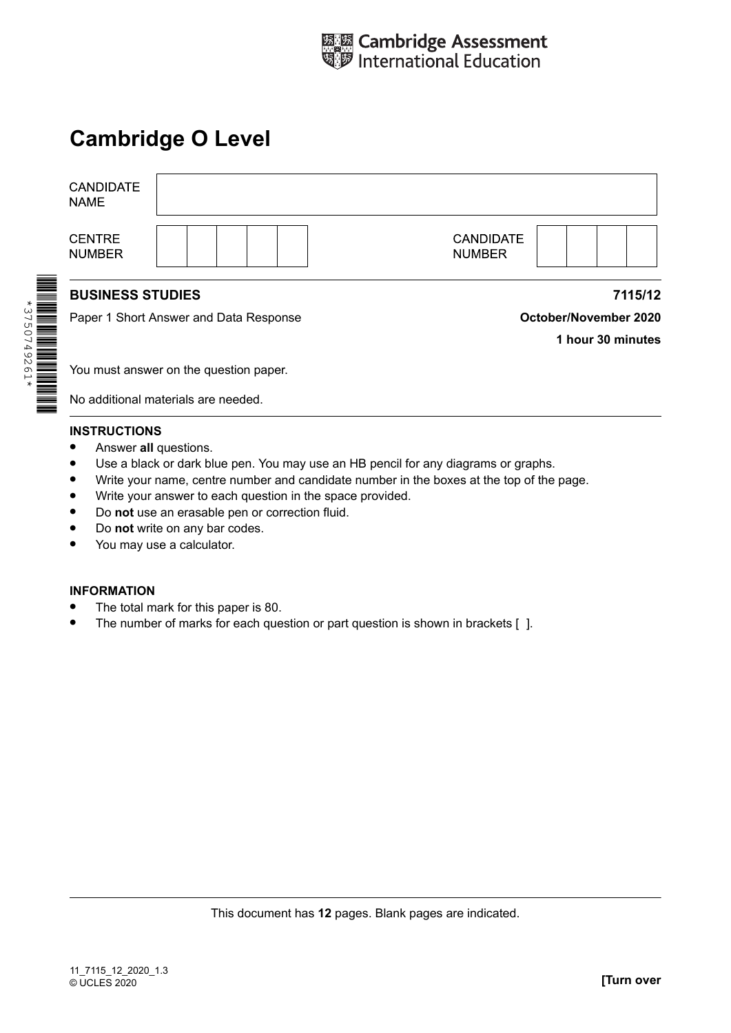

# **Cambridge O Level**

|          | <b>CANDIDATE</b><br><b>NAME</b> |                                                                              |                                            |
|----------|---------------------------------|------------------------------------------------------------------------------|--------------------------------------------|
|          | <b>CENTRE</b><br><b>NUMBER</b>  |                                                                              | <b>CANDIDATE</b><br><b>NUMBER</b>          |
|          | <b>BUSINESS STUDIES</b>         |                                                                              | 7115/12                                    |
|          |                                 | Paper 1 Short Answer and Data Response                                       | October/November 2020<br>1 hour 30 minutes |
| $\Gamma$ |                                 | You must answer on the question paper.<br>No additional matoriale are nooded |                                            |

No additional materials are needed.

#### **INSTRUCTIONS**

- **•** Answer **all** questions.
- **•** Use a black or dark blue pen. You may use an HB pencil for any diagrams or graphs.
- **•** Write your name, centre number and candidate number in the boxes at the top of the page.
- **•** Write your answer to each question in the space provided.
- **•** Do **not** use an erasable pen or correction fluid.
- **•** Do **not** write on any bar codes.<br>• You may use a calculator
- **•** You may use a calculator.

#### **INFORMATION**

- **•** The total mark for this paper is 80.
- **•** The number of marks for each question or part question is shown in brackets [ ].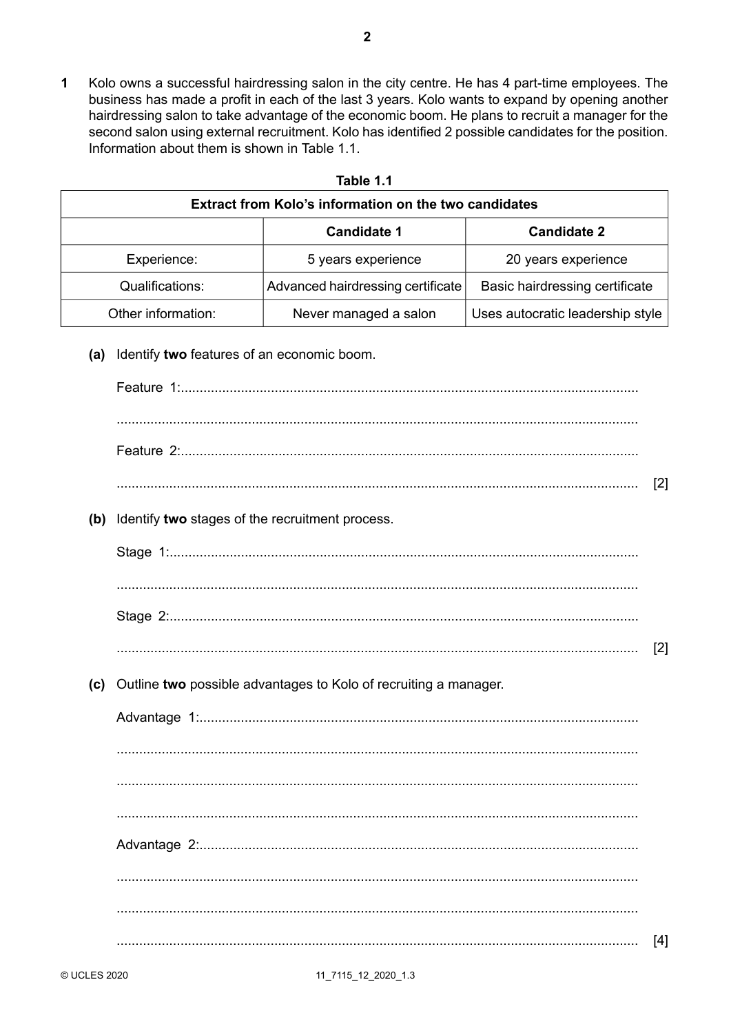$\mathbf 1$ Kolo owns a successful hairdressing salon in the city centre. He has 4 part-time employees. The business has made a profit in each of the last 3 years. Kolo wants to expand by opening another hairdressing salon to take advantage of the economic boom. He plans to recruit a manager for the second salon using external recruitment. Kolo has identified 2 possible candidates for the position. Information about them is shown in Table 1.1.

|     |                                                 | Table 1.1                                                        |                                  |
|-----|-------------------------------------------------|------------------------------------------------------------------|----------------------------------|
|     |                                                 | <b>Extract from Kolo's information on the two candidates</b>     |                                  |
|     |                                                 | <b>Candidate 1</b>                                               | <b>Candidate 2</b>               |
|     | Experience:                                     | 5 years experience                                               | 20 years experience              |
|     | Qualifications:                                 | Advanced hairdressing certificate                                | Basic hairdressing certificate   |
|     | Other information:                              | Never managed a salon                                            | Uses autocratic leadership style |
| (a) | Identify two features of an economic boom.      |                                                                  |                                  |
|     |                                                 |                                                                  | $[2]$                            |
| (b) | Identify two stages of the recruitment process. |                                                                  |                                  |
| (c) |                                                 | Outline two possible advantages to Kolo of recruiting a manager. | $[2]$                            |
|     |                                                 |                                                                  | $[4]$                            |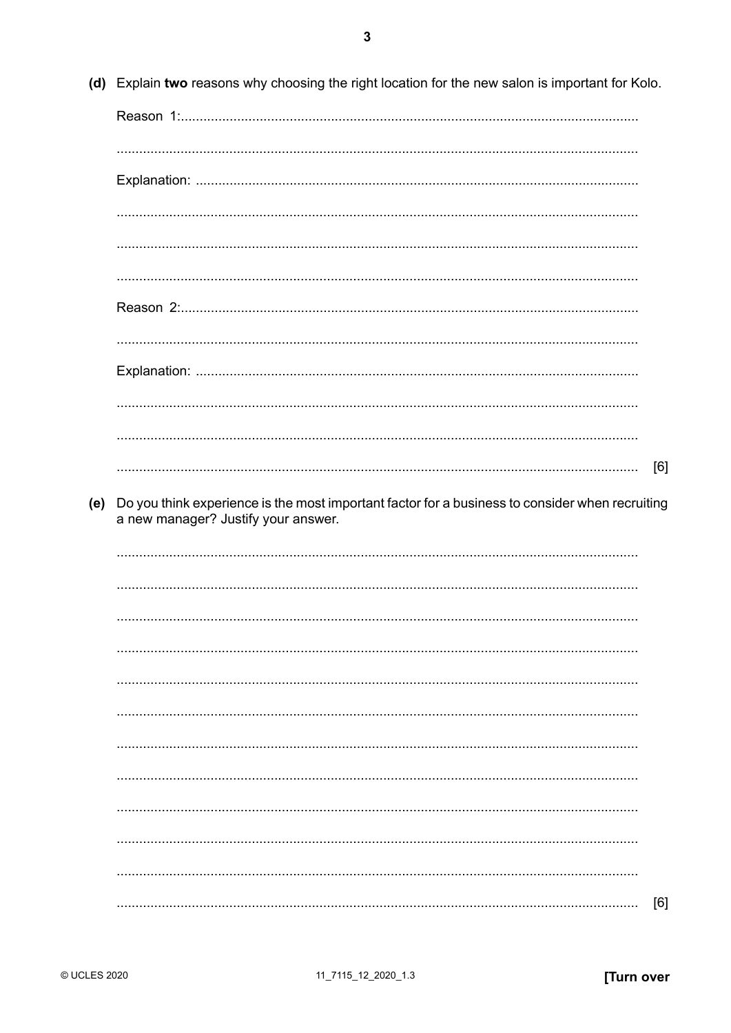|     | (d) Explain two reasons why choosing the right location for the new salon is important for Kolo.                                       |     |
|-----|----------------------------------------------------------------------------------------------------------------------------------------|-----|
|     |                                                                                                                                        |     |
|     |                                                                                                                                        |     |
|     |                                                                                                                                        |     |
|     |                                                                                                                                        |     |
|     |                                                                                                                                        |     |
|     |                                                                                                                                        |     |
|     |                                                                                                                                        |     |
|     |                                                                                                                                        |     |
|     |                                                                                                                                        |     |
|     |                                                                                                                                        |     |
|     |                                                                                                                                        |     |
|     |                                                                                                                                        |     |
|     |                                                                                                                                        |     |
|     |                                                                                                                                        |     |
|     |                                                                                                                                        | [6] |
| (e) | Do you think experience is the most important factor for a business to consider when recruiting<br>a new manager? Justify your answer. |     |
|     |                                                                                                                                        |     |
|     |                                                                                                                                        |     |
|     |                                                                                                                                        |     |
|     |                                                                                                                                        |     |
|     |                                                                                                                                        |     |
|     |                                                                                                                                        |     |
|     |                                                                                                                                        |     |
|     |                                                                                                                                        |     |
|     |                                                                                                                                        |     |
|     |                                                                                                                                        |     |
|     |                                                                                                                                        |     |
|     |                                                                                                                                        |     |
|     |                                                                                                                                        |     |
|     |                                                                                                                                        |     |
|     |                                                                                                                                        | [6] |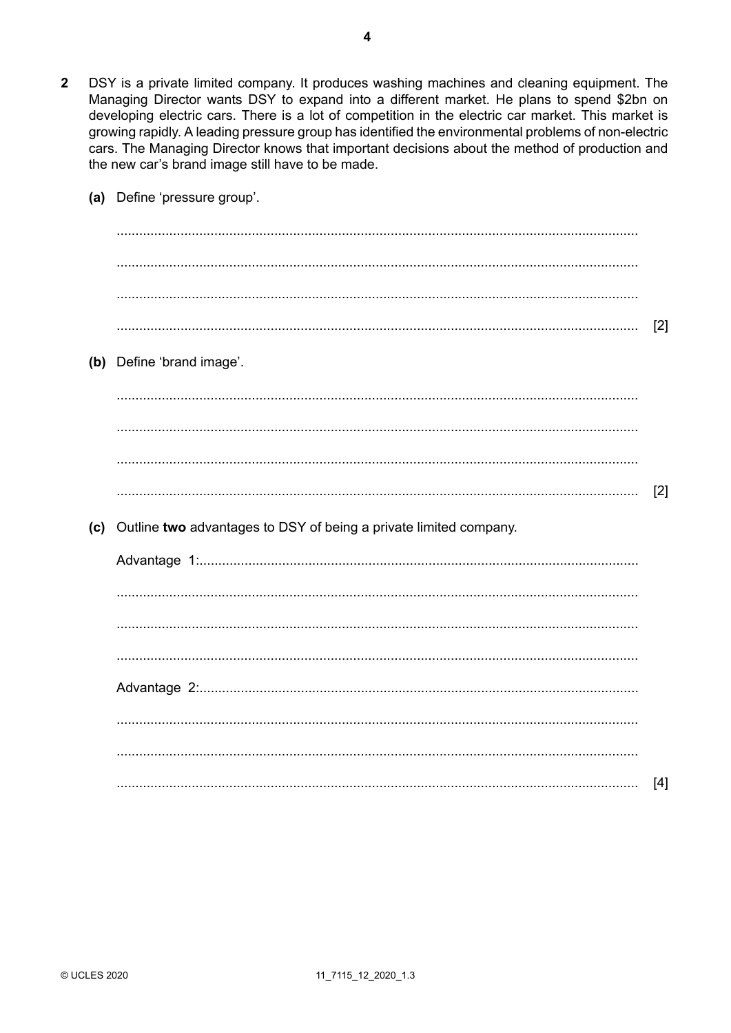$\mathbf{2}$ DSY is a private limited company. It produces washing machines and cleaning equipment. The Managing Director wants DSY to expand into a different market. He plans to spend \$2bn on developing electric cars. There is a lot of competition in the electric car market. This market is growing rapidly. A leading pressure group has identified the environmental problems of non-electric cars. The Managing Director knows that important decisions about the method of production and the new car's brand image still have to be made.

| (a) Define 'pressure group'.                                          |       |
|-----------------------------------------------------------------------|-------|
|                                                                       |       |
|                                                                       |       |
|                                                                       | $[2]$ |
| (b) Define 'brand image'.                                             |       |
|                                                                       |       |
|                                                                       |       |
|                                                                       | $[2]$ |
| (c) Outline two advantages to DSY of being a private limited company. |       |
|                                                                       |       |
|                                                                       |       |
|                                                                       |       |
|                                                                       |       |
|                                                                       |       |
|                                                                       |       |
|                                                                       | $[4]$ |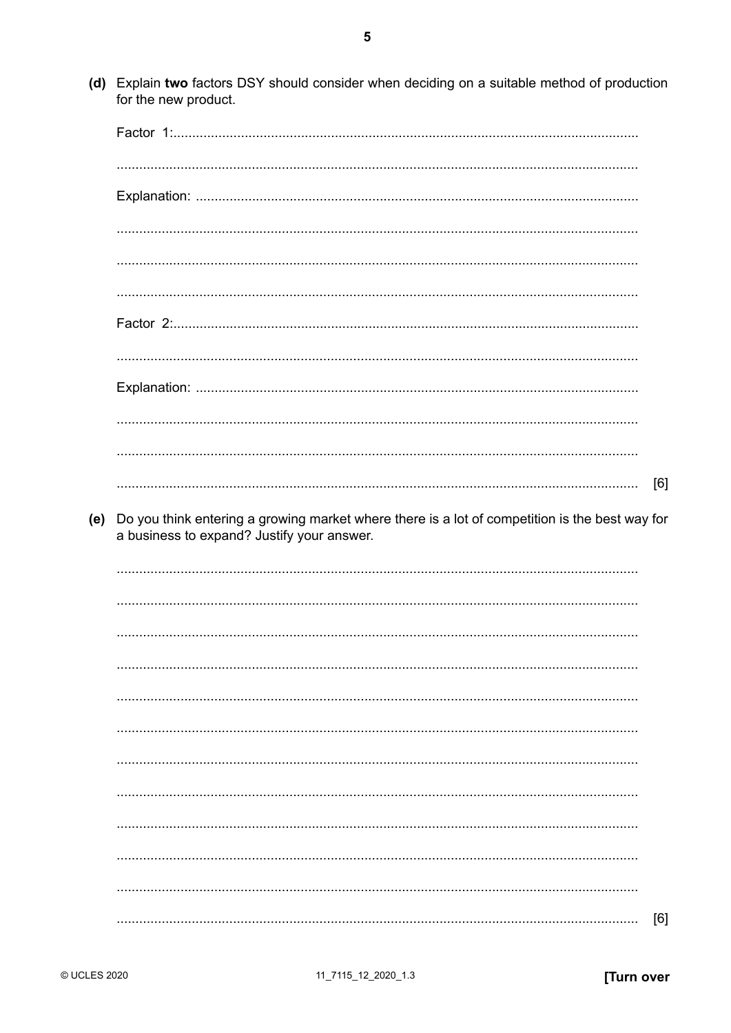(d) Explain two factors DSY should consider when deciding on a suitable method of production for the new product.

| Do you think entering a growing market where there is a lot of competition is the best way for<br>a business to expand? Justify your answer. |  |  |  |  |
|----------------------------------------------------------------------------------------------------------------------------------------------|--|--|--|--|
|                                                                                                                                              |  |  |  |  |
|                                                                                                                                              |  |  |  |  |
|                                                                                                                                              |  |  |  |  |
|                                                                                                                                              |  |  |  |  |
|                                                                                                                                              |  |  |  |  |
|                                                                                                                                              |  |  |  |  |
|                                                                                                                                              |  |  |  |  |
|                                                                                                                                              |  |  |  |  |
|                                                                                                                                              |  |  |  |  |
|                                                                                                                                              |  |  |  |  |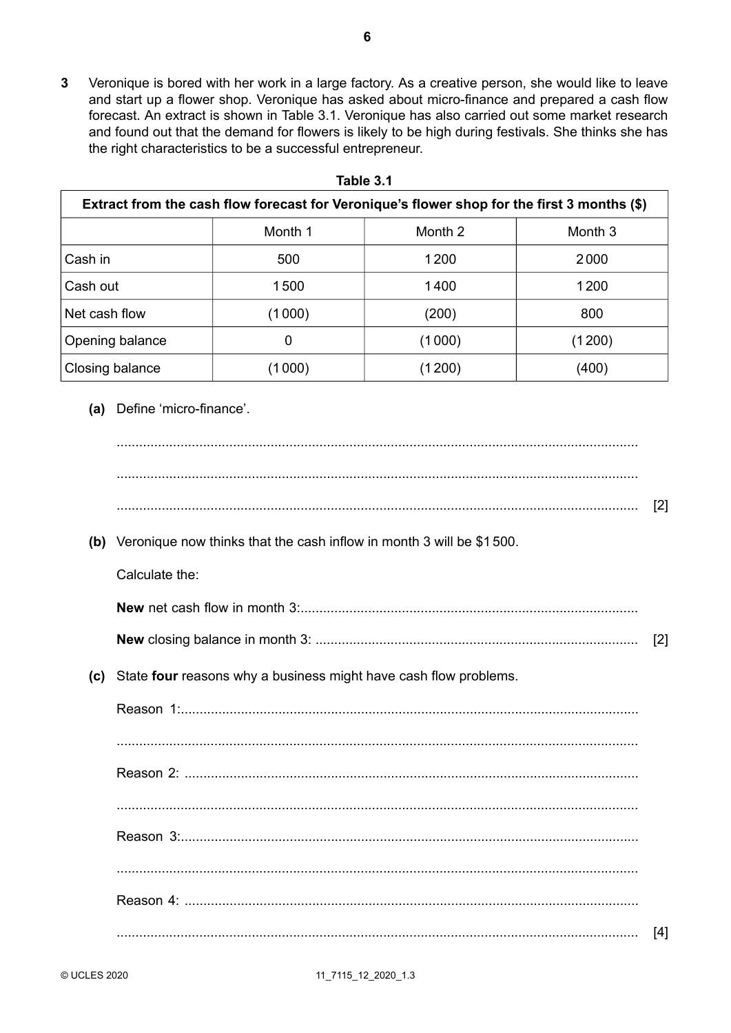Veronique is bored with her work in a large factory. As a creative person, she would like to leave and start up a flower shop. Veronique has asked about micro-finance and prepared a cash flow **3** forecast. An extract is shown in Table 3.1. Veronique has also carried out some market research and found out that the demand for flowers is likely to be high during festivals. She thinks she has the right characteristics to be a successful entrepreneur.

|                 | Table 3.1 |                                                                                             |         |
|-----------------|-----------|---------------------------------------------------------------------------------------------|---------|
|                 |           | Extract from the cash flow forecast for Veronique's flower shop for the first 3 months (\$) |         |
|                 | Month 1   | Month 2                                                                                     | Month 3 |
| Cash in         | 500       | 1200                                                                                        | 2000    |
| Cash out        | 1500      | 1400                                                                                        | 1200    |
| Net cash flow   | (1000)    | (200)                                                                                       | 800     |
| Opening balance | 0         | (1000)                                                                                      | (1200)  |
| Closing balance | (1000)    | (1200)                                                                                      | (400)   |

**(a)** Define 'micro-finance'.

|     |                                                                          | $[2]$             |
|-----|--------------------------------------------------------------------------|-------------------|
|     | (b) Veronique now thinks that the cash inflow in month 3 will be \$1500. |                   |
|     | Calculate the:                                                           |                   |
|     |                                                                          |                   |
|     |                                                                          | $\lceil 2 \rceil$ |
| (c) | State four reasons why a business might have cash flow problems.         |                   |
|     |                                                                          |                   |
|     |                                                                          |                   |
|     |                                                                          |                   |
|     |                                                                          |                   |
|     |                                                                          |                   |
|     |                                                                          |                   |
|     |                                                                          | $[4]$             |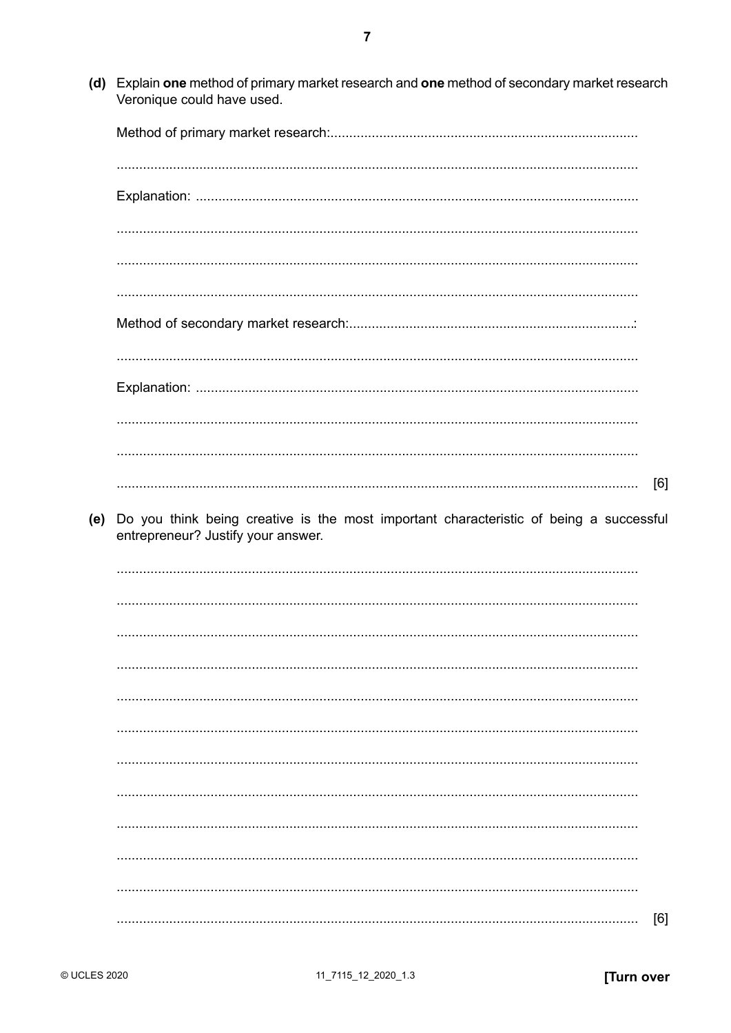(d) Explain one method of primary market research and one method of secondary market research Veronique could have used.

| Do you think being creative is the most important characteristic of being a successful<br>entrepreneur? Justify your answer. |  |  |  |
|------------------------------------------------------------------------------------------------------------------------------|--|--|--|
|                                                                                                                              |  |  |  |
|                                                                                                                              |  |  |  |
|                                                                                                                              |  |  |  |
|                                                                                                                              |  |  |  |
|                                                                                                                              |  |  |  |
|                                                                                                                              |  |  |  |
|                                                                                                                              |  |  |  |
|                                                                                                                              |  |  |  |
|                                                                                                                              |  |  |  |
|                                                                                                                              |  |  |  |
|                                                                                                                              |  |  |  |
|                                                                                                                              |  |  |  |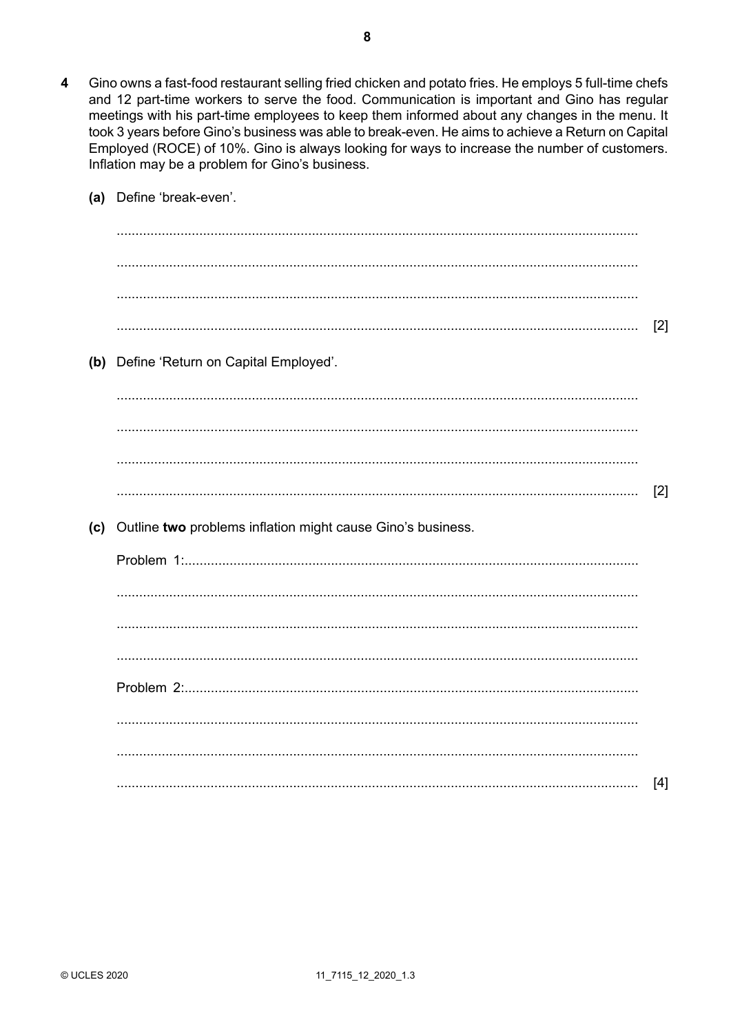$\overline{\mathbf{4}}$ Gino owns a fast-food restaurant selling fried chicken and potato fries. He employs 5 full-time chefs and 12 part-time workers to serve the food. Communication is important and Gino has regular meetings with his part-time employees to keep them informed about any changes in the menu. It took 3 years before Gino's business was able to break-even. He aims to achieve a Return on Capital Employed (ROCE) of 10%. Gino is always looking for ways to increase the number of customers. Inflation may be a problem for Gino's business.

| (a) Define 'break-even'.                                        |       |
|-----------------------------------------------------------------|-------|
|                                                                 |       |
|                                                                 |       |
|                                                                 |       |
|                                                                 | $[2]$ |
| (b) Define 'Return on Capital Employed'.                        |       |
|                                                                 |       |
|                                                                 |       |
|                                                                 |       |
|                                                                 | $[2]$ |
| (c) Outline two problems inflation might cause Gino's business. |       |
|                                                                 |       |
|                                                                 |       |
|                                                                 |       |
|                                                                 |       |
|                                                                 |       |
|                                                                 |       |
|                                                                 |       |
|                                                                 |       |
|                                                                 | $[4]$ |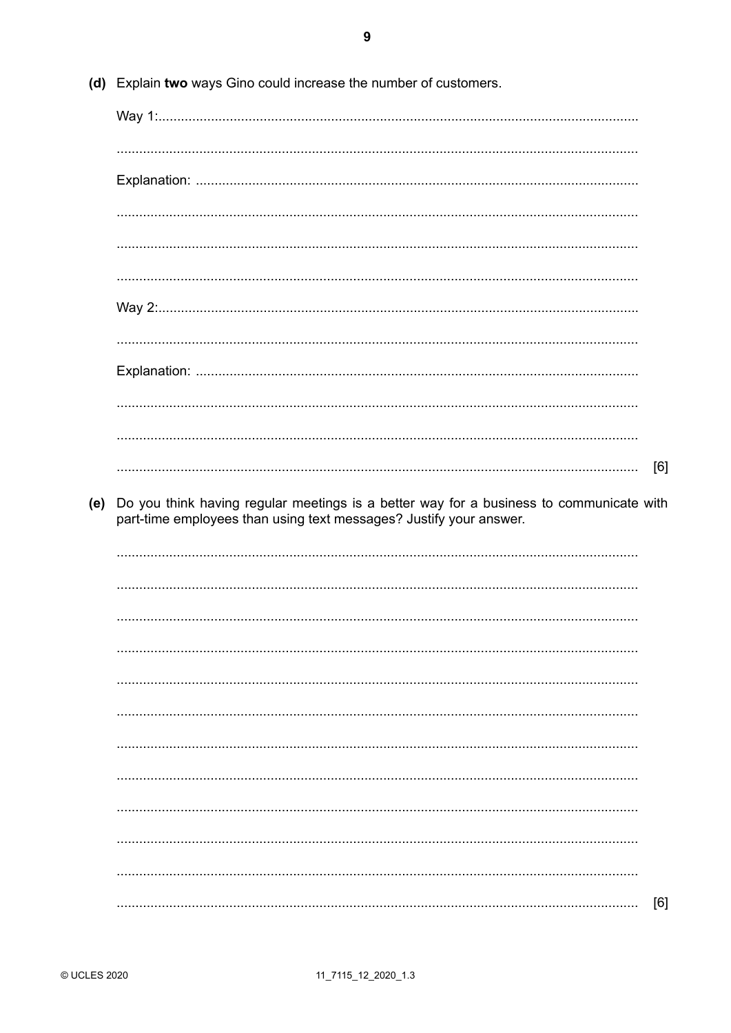| (d) Explain two ways Gino could increase the number of customers.                       |
|-----------------------------------------------------------------------------------------|
|                                                                                         |
|                                                                                         |
|                                                                                         |
|                                                                                         |
|                                                                                         |
|                                                                                         |
|                                                                                         |
|                                                                                         |
|                                                                                         |
|                                                                                         |
|                                                                                         |
|                                                                                         |
|                                                                                         |
|                                                                                         |
|                                                                                         |
| part-time employees than using text messages? Justify your answer.                      |
|                                                                                         |
|                                                                                         |
|                                                                                         |
|                                                                                         |
|                                                                                         |
| Do you think having regular meetings is a better way for a business to communicate with |
|                                                                                         |
|                                                                                         |
|                                                                                         |
|                                                                                         |
|                                                                                         |
|                                                                                         |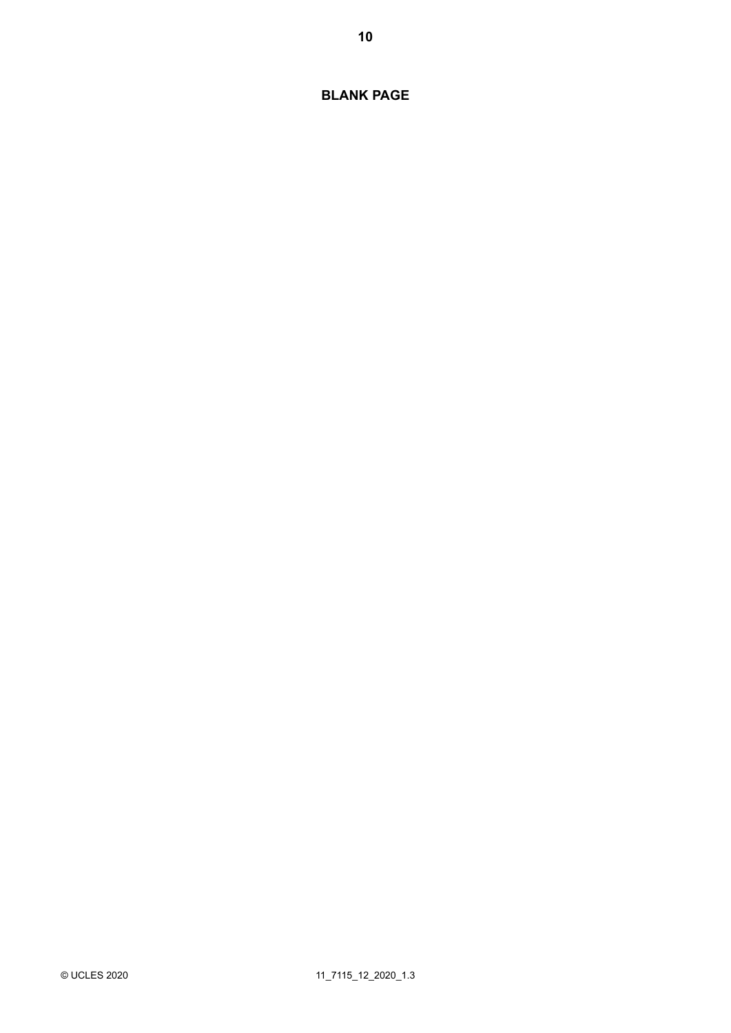## **BLANK PAGE**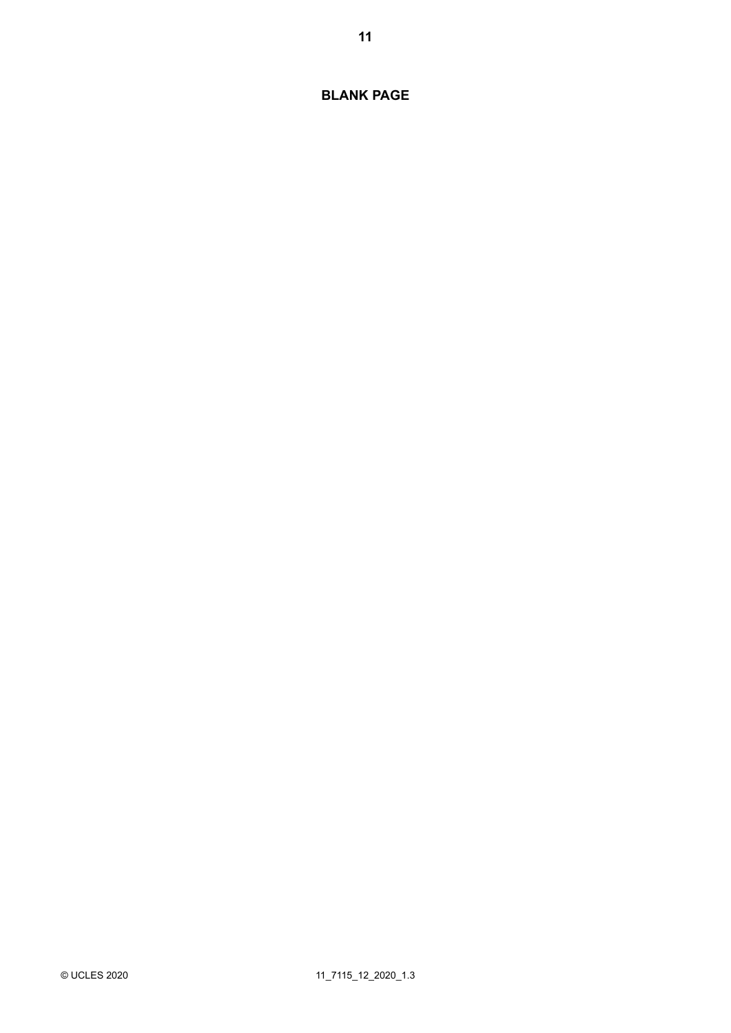# **BLANK PAGE**